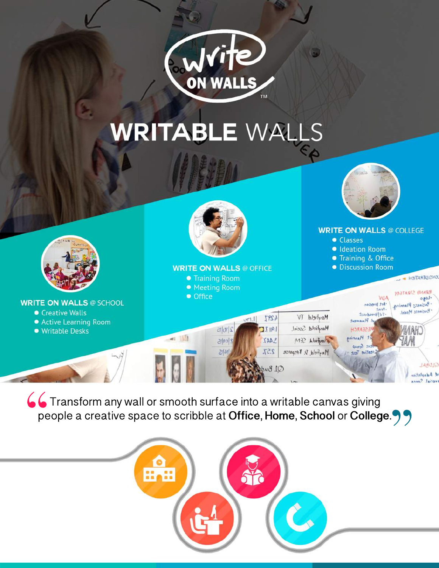

# **WRITABLE WALLS**



66 Transform any wall or smooth surface into a writable canvas giving people a creative space to scribble at Office, Home, School or College. 99

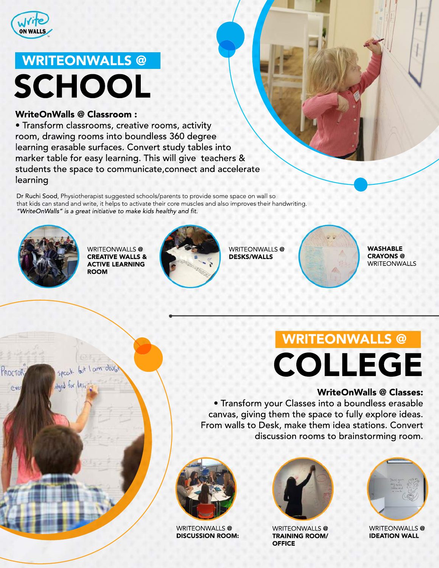

## WRITEONWALLS @ **SCHOOL**

#### WriteOnWalls@Classroom:

• Transform classrooms, creative rooms, activity room, drawing rooms into boundless 360 degree learning erasable surfaces. Convert study tables into marker table for easy learning. This will give teachers & students the space to communicate, connect and accelerate learning

Dr Ruchi Sood, Physiotherapist suggested schools/parents to provide some space on wall so that kids can stand and write, it helps to activate their core muscles and also improves their handwriting. "WriteOnWalls" is a great initiative to make kids healthy and fit.



WRITEONWALLS@ **CREATIVE WALLS & ACTIVE LEARNING** ROOM



WRITEONWALLS@ DESKS/WALLS



WASHABLE CRAYONS@ WRITEONWALLS

# WRITEONWALLS@ COLLEGE

#### WriteOnWalls@Classes:

• Transform your Classes into a boundless erasable canvas, giving them the space to fully explore ideas. From walls to Desk, make them idea stations. Convert discussion rooms to brainstorming room.



WRITEONWALLS@ **DISCUSSION ROOM:** 



WRITEONWALLS<sup>@</sup> **TRAINING ROOM/ OFFICE** 



WRITEONWALLS<sup>@</sup> **IDEATION WALL** 

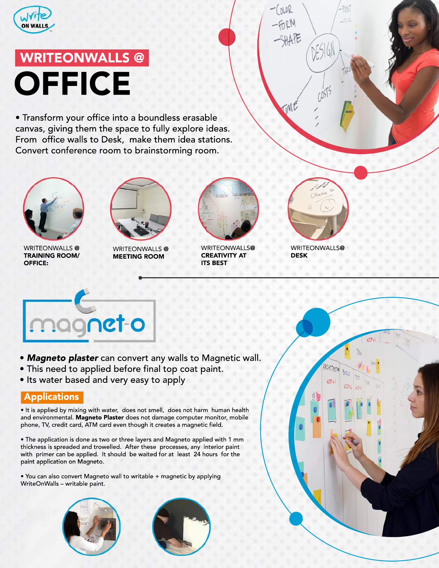

## WRITEONWALLS@ **OFFICE**

• Transform your office into a boundless erasable canvas, giving them the space to fully explore ideas. From office walls to Desk, make them idea stations. Convert conference room to brainstorming room.



WRITEONWALLS @ **TRAINING ROOM/** OFFICE:



WRITEONWALLS@ **MEETING ROOM** 



WRITEONWALLS@ **CREATIVITY AT ITS BEST** 



 $0051$ 

 $(mR)$ 

TME

WRITEONWALLS@ DESK



- Magneto plaster can convert any walls to Magnetic wall.
- This need to applied before final top coat paint.
- Its water based and very easy to apply

### Applications

• It is applied by mixing with water, does not smell, does not harm human health and environmental. Magneto Plaster does not damage computer monitor, mobile phone, TV, credit card, ATM card even though it creates a magnetic field.

• The application is done as two or three layers and Magneto applied with 1 mm thickness is spreaded and trowelled. After these processes, any interior paint with primer can be applied. It should be waited for at least 24 hours for the paint application on Magneto.

• You can also convert Magneto wall to writable + magnetic by applying WriteOnWalls - writable paint.